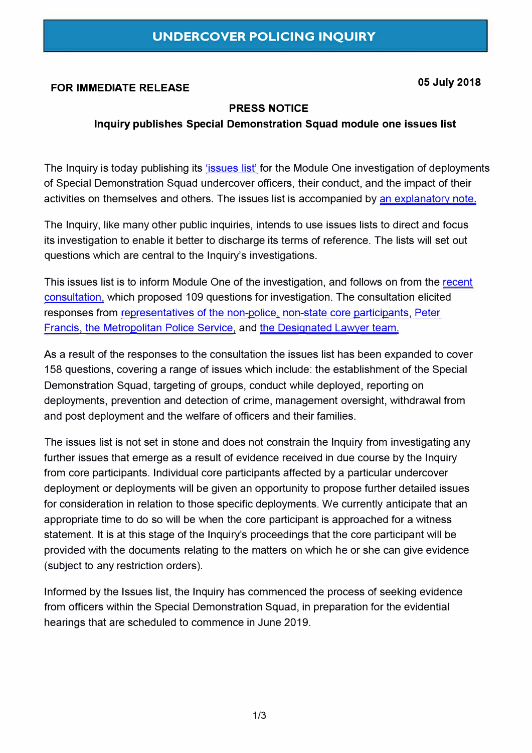# **FOR IMMEDIATE RELEASE 05 July 2018**

#### **PRESS NOTICE**

#### **Inquiry publishes Special Demonstration Squad module one issues list**

The Inquiry is today publishing its ['issues list'](https://www.ucpi.org.uk/wp-content/uploads/2018/07/20180705_list_of_issues_module_one_SDS_final.pdf) for the Module One investigation of deployments of Special Demonstration Squad undercover officers, their conduct, and the impact of their activities on themselves and others. The issues list is accompanied by [an explanatory note.](https://www.ucpi.org.uk/wp-content/uploads/2018/07/20180705_explanatory_note_SDS_Module_One_list_of_issues_final.pdf) 

The Inquiry, like many other public inquiries, intends to use issues lists to direct and focus its investigation to enable it better to discharge its terms of reference. The lists will set out questions which are central to the Inquiry's investigations.

This issues list is to inform Module One of the investigation, and follows on from the recent [consultation,](https://www.ucpi.org.uk/wp-content/uploads/2018/02/20180201-press-notice-SDS-Module-One-list-of-issues.pdf) which proposed 109 questions for investigation. The consultation elicited responses from [representatives of the non-police, non-state core participants,](https://www.ucpi.org.uk/wp-content/uploads/2018/07/NPSCP_response_to_list_of_issues_reprint.pdf) [Peter](https://www.ucpi.org.uk/wp-content/uploads/2018/07/List_of_Issues_for_Module_One_SDS_Peter_Francis_legal_team.pdf)  [Francis,](https://www.ucpi.org.uk/wp-content/uploads/2018/07/List_of_Issues_for_Module_One_SDS_Peter_Francis_legal_team.pdf) [the Metropolitan Police Service,](https://www.ucpi.org.uk/wp-content/uploads/2018/07/20180315-MPS_observations_on_Module_One_SDS_Issues_List.pdf) and the Designated Lawyer team.

As a result of the responses to the consultation the issues list has been expanded to cover 158 questions, covering a range of issues which include: the establishment of the Special Demonstration Squad, targeting of groups, conduct while deployed, reporting on deployments, prevention and detection of crime, management oversight, withdrawal from and post deployment and the welfare of officers and their families.

The issues list is not set in stone and does not constrain the Inquiry from investigating any further issues that emerge as a result of evidence received in due course by the Inquiry from core participants. Individual core participants affected by a particular undercover deployment or deployments will be given an opportunity to propose further detailed issues for consideration in relation to those specific deployments. We currently anticipate that an appropriate time to do so will be when the core participant is approached for a witness statement. It is at this stage of the Inquiry's proceedings that the core participant will be provided with the documents relating to the matters on which he or she can give evidence (subject to any restriction orders).

Informed by the Issues list, the Inquiry has commenced the process of seeking evidence from officers within the Special Demonstration Squad, in preparation for the evidential hearings that are scheduled to commence in June 2019.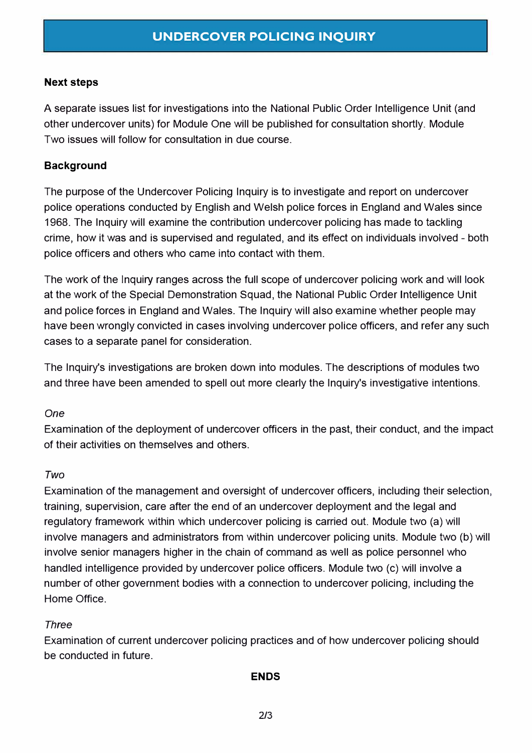#### **Next steps**

A separate issues list for investigations into the National Public Order Intelligence Unit (and other undercover units) for Module One will be published for consultation shortly. Module Two issues will follow for consultation in due course.

### **Background**

The purpose of the Undercover Policing Inquiry is to investigate and report on undercover police operations conducted by English and Welsh police forces in England and Wales since 1968. The Inquiry will examine the contribution undercover policing has made to tackling crime, how it was and is supervised and regulated, and its effect on individuals involved - both police officers and others who came into contact with them.

The work of the Inquiry ranges across the full scope of undercover policing work and will look at the work of the Special Demonstration Squad, the National Public Order Intelligence Unit and police forces in England and Wales. The Inquiry will also examine whether people may have been wrongly convicted in cases involving undercover police officers, and refer any such cases to a separate panel for consideration.

The Inquiry's investigations are broken down into modules. The descriptions of modules two and three have been amended to spell out more clearly the Inquiry's investigative intentions.

### *One*

Examination of the deployment of undercover officers in the past, their conduct, and the impact of their activities on themselves and others.

### *Two*

Examination of the management and oversight of undercover officers, including their selection, training, supervision, care after the end of an undercover deployment and the legal and regulatory framework within which undercover policing is carried out. Module two (a) will involve managers and administrators from within undercover policing units. Module two (b) will involve senior managers higher in the chain of command as well as police personnel who handled intelligence provided by undercover police officers. Module two (c) will involve a number of other government bodies with a connection to undercover policing, including the Home Office.

### *Three*

Examination of current undercover policing practices and of how undercover policing should be conducted in future.

### **ENDS**